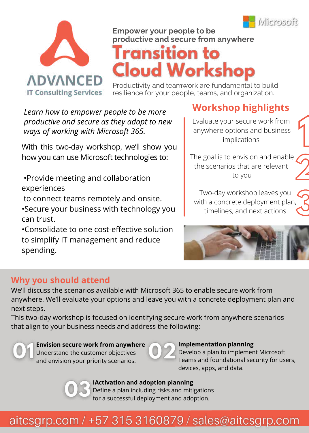

**1**



# **Empower your people to be**

# **productive and secure from anywhere Cloud Workshop**

Productivity and teamwork are fundamental to build resilience for your people, teams, and organization.

*Learn how to empower people to be more productive and secure as they adapt to new ways of working with Microsoft 365.*

With this two-day workshop, we'll show you how you can use Microsoft technologies to:

- •Provide meeting and collaboration experiences
- to connect teams remotely and onsite.
- •Secure your business with technology you can trust.

•Consolidate to one cost-effective solution to simplify IT management and reduce spending.

## **Workshop highlights**

Evaluate your secure work from anywhere options and business implications

The goal is to envision and enable the scenarios that are relevant to you **2**

Two-day workshop leaves you with a concrete deployment plan, timelines, and next actions **3**



### **Why you should attend**

We'll discuss the scenarios available with Microsoft 365 to enable secure work from anywhere. We'll evaluate your options and leave you with a concrete deployment plan and next steps.

This two-day workshop is focused on identifying secure work from anywhere scenarios that align to your business needs and address the following:



#### **Envision secure work from anywhere** Understand the customer objectives

and envision your priority scenarios.



#### **Implementation planning**

Develop a plan to implement Microsoft Teams and foundational security for users, devices, apps, and data.



#### **IActivation and adoption planning**

Define a plan including risks and mitigations for a successful deployment and adoption.

# aitcsgrp.com / +57 315 3160879 / sales@aitcsgrp.com